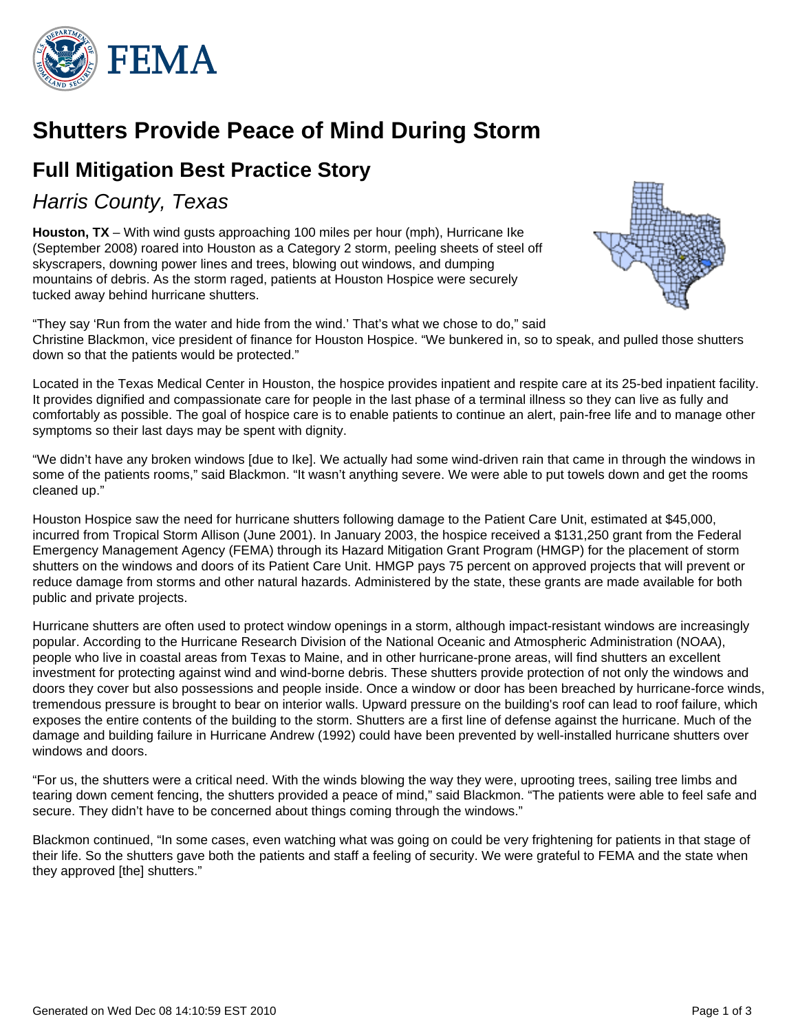

# **Shutters Provide Peace of Mind During Storm**

## **Full Mitigation Best Practice Story**

### Harris County, Texas

**Houston, TX** – With wind gusts approaching 100 miles per hour (mph), Hurricane Ike (September 2008) roared into Houston as a Category 2 storm, peeling sheets of steel off skyscrapers, downing power lines and trees, blowing out windows, and dumping mountains of debris. As the storm raged, patients at Houston Hospice were securely tucked away behind hurricane shutters.



"They say 'Run from the water and hide from the wind.' That's what we chose to do," said Christine Blackmon, vice president of finance for Houston Hospice. "We bunkered in, so to speak, and pulled those shutters down so that the patients would be protected."

Located in the Texas Medical Center in Houston, the hospice provides inpatient and respite care at its 25-bed inpatient facility. It provides dignified and compassionate care for people in the last phase of a terminal illness so they can live as fully and comfortably as possible. The goal of hospice care is to enable patients to continue an alert, pain-free life and to manage other symptoms so their last days may be spent with dignity.

"We didn't have any broken windows [due to Ike]. We actually had some wind-driven rain that came in through the windows in some of the patients rooms," said Blackmon. "It wasn't anything severe. We were able to put towels down and get the rooms cleaned up."

Houston Hospice saw the need for hurricane shutters following damage to the Patient Care Unit, estimated at \$45,000, incurred from Tropical Storm Allison (June 2001). In January 2003, the hospice received a \$131,250 grant from the Federal Emergency Management Agency (FEMA) through its Hazard Mitigation Grant Program (HMGP) for the placement of storm shutters on the windows and doors of its Patient Care Unit. HMGP pays 75 percent on approved projects that will prevent or reduce damage from storms and other natural hazards. Administered by the state, these grants are made available for both public and private projects.

Hurricane shutters are often used to protect window openings in a storm, although impact-resistant windows are increasingly popular. According to the Hurricane Research Division of the National Oceanic and Atmospheric Administration (NOAA), people who live in coastal areas from Texas to Maine, and in other hurricane-prone areas, will find shutters an excellent investment for protecting against wind and wind-borne debris. These shutters provide protection of not only the windows and doors they cover but also possessions and people inside. Once a window or door has been breached by hurricane-force winds, tremendous pressure is brought to bear on interior walls. Upward pressure on the building's roof can lead to roof failure, which exposes the entire contents of the building to the storm. Shutters are a first line of defense against the hurricane. Much of the damage and building failure in Hurricane Andrew (1992) could have been prevented by well-installed hurricane shutters over windows and doors.

"For us, the shutters were a critical need. With the winds blowing the way they were, uprooting trees, sailing tree limbs and tearing down cement fencing, the shutters provided a peace of mind," said Blackmon. "The patients were able to feel safe and secure. They didn't have to be concerned about things coming through the windows."

Blackmon continued, "In some cases, even watching what was going on could be very frightening for patients in that stage of their life. So the shutters gave both the patients and staff a feeling of security. We were grateful to FEMA and the state when they approved [the] shutters."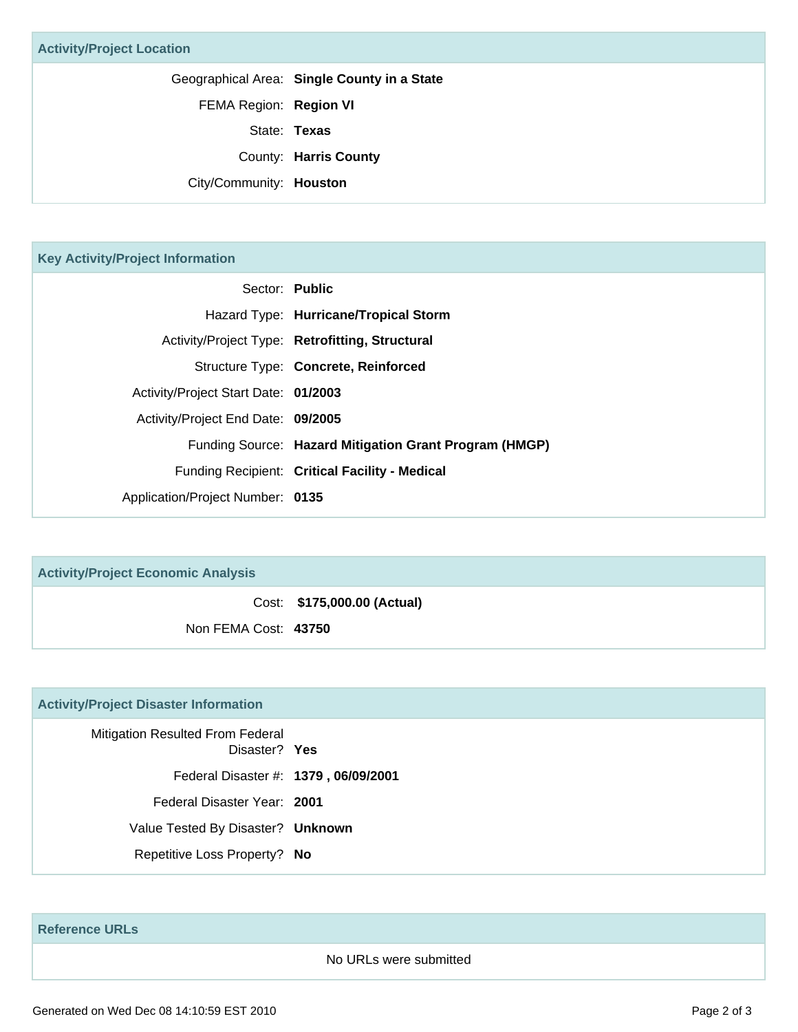Geographical Area: **Single County in a State**

FEMA Region: **Region VI**

State: **Texas**

County: **Harris County**

City/Community: **Houston**

#### **Key Activity/Project Information**

|                                      | Sector: Public                                         |
|--------------------------------------|--------------------------------------------------------|
|                                      | Hazard Type: Hurricane/Tropical Storm                  |
|                                      | Activity/Project Type: Retrofitting, Structural        |
|                                      | Structure Type: Concrete, Reinforced                   |
| Activity/Project Start Date: 01/2003 |                                                        |
| Activity/Project End Date: 09/2005   |                                                        |
|                                      | Funding Source: Hazard Mitigation Grant Program (HMGP) |
|                                      | Funding Recipient: Critical Facility - Medical         |
| Application/Project Number: 0135     |                                                        |

| <b>Activity/Project Economic Analysis</b> |                             |
|-------------------------------------------|-----------------------------|
|                                           | Cost: \$175,000.00 (Actual) |
| Non FEMA Cost: 43750                      |                             |

#### **Activity/Project Disaster Information**

Mitigation Resulted From Federal Disaster? **Yes** Federal Disaster #: **1379 , 06/09/2001** Federal Disaster Year: **2001** Value Tested By Disaster? **Unknown** Repetitive Loss Property? **No**

**Reference URLs**

No URLs were submitted